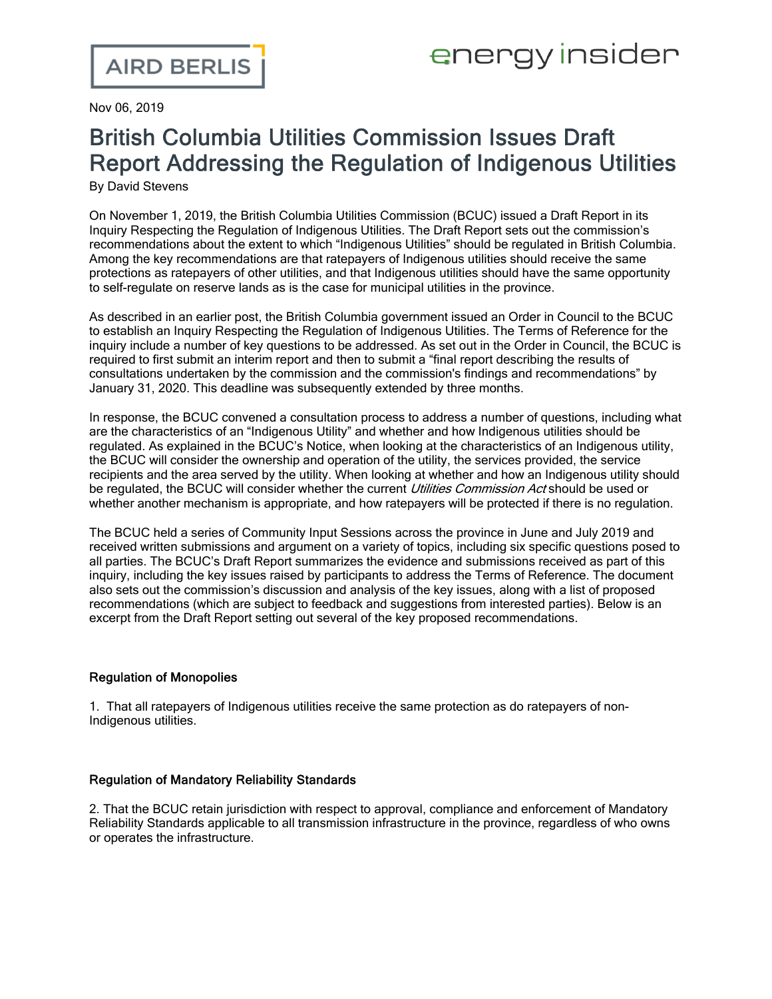Nov 06, 2019

# British Columbia Utilities Commission Issues Draft Report Addressing the Regulation of Indigenous Utilities

By David Stevens

On November 1, 2019, the British Columbia Utilities Commission (BCUC) issued a Draft [Report](https://www.bcuc.com/Documents/Proceedings/2019/DOC_56150_A-43-Draft-Report.pdf) in its Inquiry Respecting the Regulation of Indigenous Utilities. The Draft Report sets out the commission's recommendations about the extent to which "Indigenous Utilities" should be regulated in British Columbia. Among the key recommendations are that ratepayers of Indigenous utilities should receive the same protections as ratepayers of other utilities, and that Indigenous utilities should have the same opportunity to self-regulate on reserve lands as is the case for municipal utilities in the province.

As described in an [earlier](https://www.airdberlis.com/insights/blogs/energyinsider/post/ei-item/british-columbia-utilities-commission-proceeds-with-inquiry-into-regulation-of-indigenous-utilities) post, the British Columbia government issued an Order in [Council](http://www.bclaws.ca/civix/document/id/oic/oic_cur/0108_2019) to the BCUC to establish an Inquiry Respecting the Regulation of Indigenous Utilities. The Terms of Reference for the inquiry include a number of key questions to be addressed. As set out in the Order in [Council](http://www.bclaws.ca/civix/document/id/oic/oic_cur/0108_2019), the BCUC is required to first submit an interim report and then to submit a "final report describing the results of consultations undertaken by the commission and the commission's findings and recommendations" by January 31, 2020. This deadline was subsequently extended by three months.

In response, the BCUC convened a consultation process to address a number of questions, including what are the characteristics of an "Indigenous Utility" and whether and how Indigenous utilities should be regulated. As explained in the BCUC's [Notice,](https://www.bcuc.com/Documents/Proceedings/2019/DOC_53681_A-3-G-71-19-Timetable-Notice.pdf) when looking at the characteristics of an Indigenous utility, the BCUC will consider the ownership and operation of the utility, the services provided, the service recipients and the area served by the utility. When looking at whether and how an Indigenous utility should be regulated, the BCUC will consider whether the current *Utilities Commission Act* should be used or whether another mechanism is appropriate, and how ratepayers will be protected if there is no regulation.

The BCUC held a series of Community Input Sessions across the province in June and July 2019 and received written submissions and argument on a variety of topics, including six specific questions posed to all parties. The BCUC's Draft [Report](https://www.bcuc.com/Documents/Proceedings/2019/DOC_56150_A-43-Draft-Report.pdf) summarizes the evidence and submissions received as part of this inquiry, including the key issues raised by participants to address the Terms of Reference. The document also sets out the commission's discussion and analysis of the key issues, along with a list of proposed recommendations (which are subject to feedback and suggestions from interested parties). Below is an excerpt from the Draft [Report](https://www.bcuc.com/Documents/Proceedings/2019/DOC_56150_A-43-Draft-Report.pdf) setting out several of the key proposed recommendations.

## Regulation of Monopolies

1. That all ratepayers of Indigenous utilities receive the same protection as do ratepayers of non-Indigenous utilities.

## Regulation of Mandatory Reliability Standards

2. That the BCUC retain jurisdiction with respect to approval, compliance and enforcement of Mandatory Reliability Standards applicable to all transmission infrastructure in the province, regardless of who owns or operates the infrastructure.